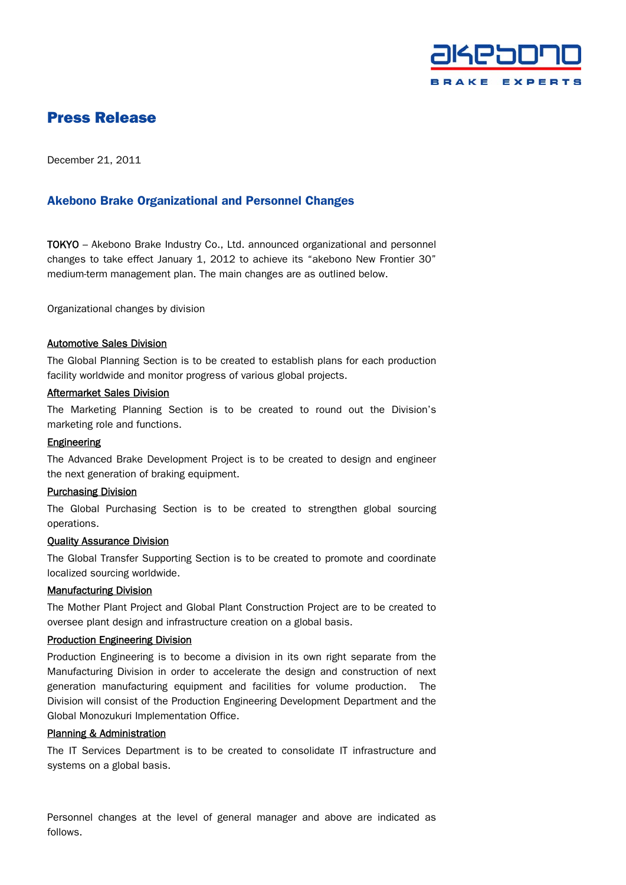

# Press Release

December 21, 2011

# Akebono Brake Organizational and Personnel Changes

TOKYO – Akebono Brake Industry Co., Ltd. announced organizational and personnel changes to take effect January 1, 2012 to achieve its "akebono New Frontier 30" medium-term management plan. The main changes are as outlined below.

Organizational changes by division

### Automotive Sales Division

The Global Planning Section is to be created to establish plans for each production facility worldwide and monitor progress of various global projects.

# Aftermarket Sales Division

The Marketing Planning Section is to be created to round out the Division's marketing role and functions.

# Engineering

The Advanced Brake Development Project is to be created to design and engineer the next generation of braking equipment.

#### Purchasing Division

The Global Purchasing Section is to be created to strengthen global sourcing operations.

# Quality Assurance Division

The Global Transfer Supporting Section is to be created to promote and coordinate localized sourcing worldwide.

# Manufacturing Division

The Mother Plant Project and Global Plant Construction Project are to be created to oversee plant design and infrastructure creation on a global basis.

# Production Engineering Division

Production Engineering is to become a division in its own right separate from the Manufacturing Division in order to accelerate the design and construction of next generation manufacturing equipment and facilities for volume production. The Division will consist of the Production Engineering Development Department and the Global Monozukuri Implementation Office.

# Planning & Administration

The IT Services Department is to be created to consolidate IT infrastructure and systems on a global basis.

Personnel changes at the level of general manager and above are indicated as follows.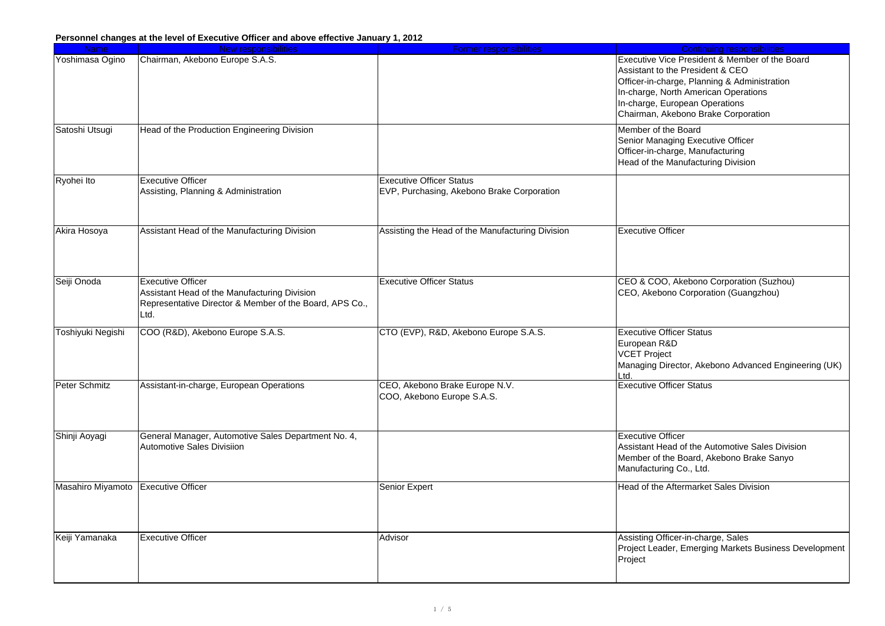| <b>Name</b>       | <b>New responsibilities</b>                                                                                                                 | <b>Former responsibilities</b>                                                | <b>Continuing responsibilities</b>                                                                                                                                                                                                                  |
|-------------------|---------------------------------------------------------------------------------------------------------------------------------------------|-------------------------------------------------------------------------------|-----------------------------------------------------------------------------------------------------------------------------------------------------------------------------------------------------------------------------------------------------|
| Yoshimasa Ogino   | Chairman, Akebono Europe S.A.S.                                                                                                             |                                                                               | Executive Vice President & Member of the Board<br>Assistant to the President & CEO<br>Officer-in-charge, Planning & Administration<br>In-charge, North American Operations<br>In-charge, European Operations<br>Chairman, Akebono Brake Corporation |
| Satoshi Utsugi    | Head of the Production Engineering Division                                                                                                 |                                                                               | Member of the Board<br>Senior Managing Executive Officer<br>Officer-in-charge, Manufacturing<br>Head of the Manufacturing Division                                                                                                                  |
| Ryohei Ito        | <b>Executive Officer</b><br>Assisting, Planning & Administration                                                                            | <b>Executive Officer Status</b><br>EVP, Purchasing, Akebono Brake Corporation |                                                                                                                                                                                                                                                     |
| Akira Hosoya      | Assistant Head of the Manufacturing Division                                                                                                | Assisting the Head of the Manufacturing Division                              | <b>Executive Officer</b>                                                                                                                                                                                                                            |
| Seiji Onoda       | <b>Executive Officer</b><br>Assistant Head of the Manufacturing Division<br>Representative Director & Member of the Board, APS Co.,<br>Ltd. | <b>Executive Officer Status</b>                                               | CEO & COO, Akebono Corporation (Suzhou)<br>CEO, Akebono Corporation (Guangzhou)                                                                                                                                                                     |
| Toshiyuki Negishi | COO (R&D), Akebono Europe S.A.S.                                                                                                            | CTO (EVP), R&D, Akebono Europe S.A.S.                                         | <b>Executive Officer Status</b><br>European R&D<br><b>VCET Project</b><br>Managing Director, Akebono Advanced Engineering (UK)<br>Ltd.                                                                                                              |
| Peter Schmitz     | Assistant-in-charge, European Operations                                                                                                    | CEO, Akebono Brake Europe N.V.<br>COO, Akebono Europe S.A.S.                  | <b>Executive Officer Status</b>                                                                                                                                                                                                                     |
| Shinji Aoyagi     | General Manager, Automotive Sales Department No. 4,<br><b>Automotive Sales Divisiion</b>                                                    |                                                                               | <b>Executive Officer</b><br>Assistant Head of the Automotive Sales Division<br>Member of the Board, Akebono Brake Sanyo<br>Manufacturing Co., Ltd.                                                                                                  |
| Masahiro Miyamoto | <b>Executive Officer</b>                                                                                                                    | <b>Senior Expert</b>                                                          | Head of the Aftermarket Sales Division                                                                                                                                                                                                              |
| Keiji Yamanaka    | <b>Executive Officer</b>                                                                                                                    | Advisor                                                                       | Assisting Officer-in-charge, Sales<br>Project Leader, Emerging Markets Business Development<br>Project                                                                                                                                              |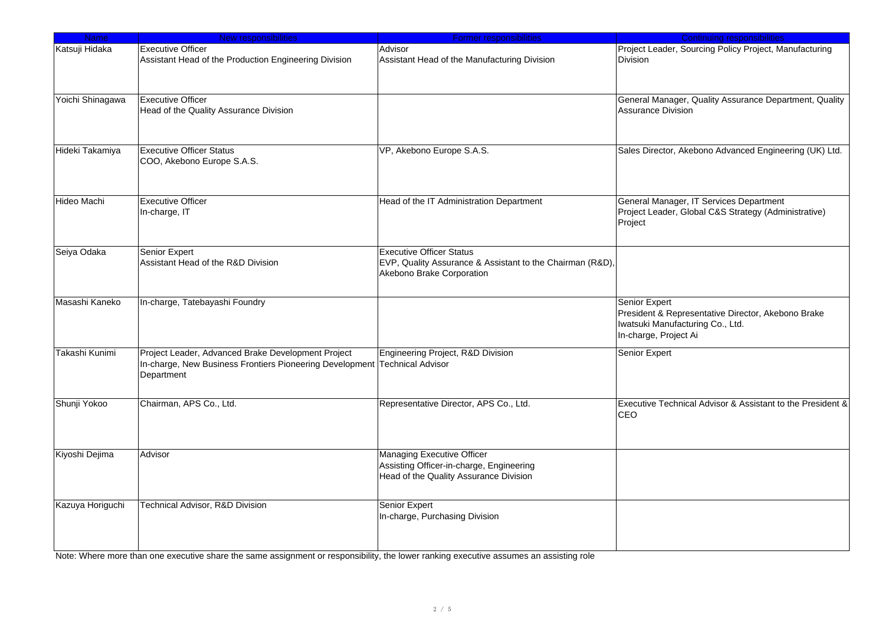| <b>Name</b>      | New responsibilities                                                                                                                           | <b>Former responsibilities</b>                                                                                            | <b>Continuing responsibilities</b>                                                                                                      |
|------------------|------------------------------------------------------------------------------------------------------------------------------------------------|---------------------------------------------------------------------------------------------------------------------------|-----------------------------------------------------------------------------------------------------------------------------------------|
| Katsuji Hidaka   | <b>Executive Officer</b><br>Assistant Head of the Production Engineering Division                                                              | Advisor<br>Assistant Head of the Manufacturing Division                                                                   | Project Leader, Sourcing Policy Project, Manufacturing<br><b>Division</b>                                                               |
| Yoichi Shinagawa | <b>Executive Officer</b><br>Head of the Quality Assurance Division                                                                             |                                                                                                                           | General Manager, Quality Assurance Department, Quality<br>Assurance Division                                                            |
| Hideki Takamiya  | <b>Executive Officer Status</b><br>COO, Akebono Europe S.A.S.                                                                                  | VP, Akebono Europe S.A.S.                                                                                                 | Sales Director, Akebono Advanced Engineering (UK) Ltd.                                                                                  |
| Hideo Machi      | <b>Executive Officer</b><br>In-charge, IT                                                                                                      | Head of the IT Administration Department                                                                                  | General Manager, IT Services Department<br>Project Leader, Global C&S Strategy (Administrative)<br>Project                              |
| Seiya Odaka      | Senior Expert<br>Assistant Head of the R&D Division                                                                                            | <b>Executive Officer Status</b><br>EVP, Quality Assurance & Assistant to the Chairman (R&D),<br>Akebono Brake Corporation |                                                                                                                                         |
| Masashi Kaneko   | In-charge, Tatebayashi Foundry                                                                                                                 |                                                                                                                           | <b>Senior Expert</b><br>President & Representative Director, Akebono Brake<br>Iwatsuki Manufacturing Co., Ltd.<br>In-charge, Project Ai |
| Takashi Kunimi   | Project Leader, Advanced Brake Development Project<br>In-charge, New Business Frontiers Pioneering Development Technical Advisor<br>Department | Engineering Project, R&D Division                                                                                         | Senior Expert                                                                                                                           |
| Shunji Yokoo     | Chairman, APS Co., Ltd.                                                                                                                        | Representative Director, APS Co., Ltd.                                                                                    | Executive Technical Advisor & Assistant to the President &<br><b>CEO</b>                                                                |
| Kiyoshi Dejima   | Advisor                                                                                                                                        | <b>Managing Executive Officer</b><br>Assisting Officer-in-charge, Engineering<br>Head of the Quality Assurance Division   |                                                                                                                                         |
| Kazuya Horiguchi | <b>Technical Advisor, R&amp;D Division</b>                                                                                                     | Senior Expert<br>In-charge, Purchasing Division                                                                           |                                                                                                                                         |

Note: Where more than one executive share the same assignment or responsibility, the lower ranking executive assumes an assisting role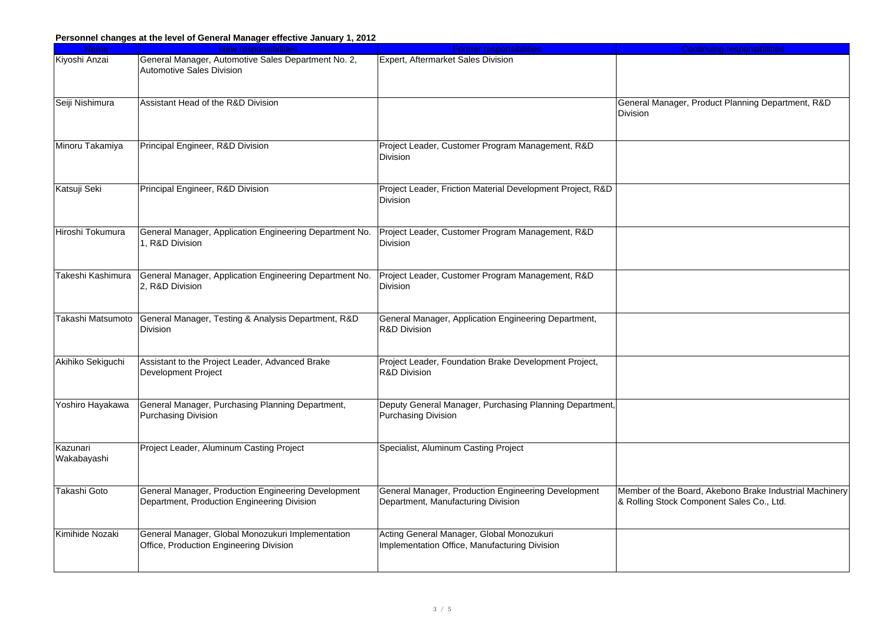| <b>Name</b>       | New responsibilities                                    | <b>Former responsibilities</b>                             | <b>Continuing responsibilities</b>                      |
|-------------------|---------------------------------------------------------|------------------------------------------------------------|---------------------------------------------------------|
| Kiyoshi Anzai     | General Manager, Automotive Sales Department No. 2,     | <b>Expert, Aftermarket Sales Division</b>                  |                                                         |
|                   | <b>Automotive Sales Division</b>                        |                                                            |                                                         |
|                   |                                                         |                                                            |                                                         |
|                   |                                                         |                                                            |                                                         |
| Seiji Nishimura   | Assistant Head of the R&D Division                      |                                                            | General Manager, Product Planning Department, R&D       |
|                   |                                                         |                                                            | Division                                                |
|                   |                                                         |                                                            |                                                         |
|                   |                                                         |                                                            |                                                         |
| Minoru Takamiya   | Principal Engineer, R&D Division                        | Project Leader, Customer Program Management, R&D           |                                                         |
|                   |                                                         | Division                                                   |                                                         |
|                   |                                                         |                                                            |                                                         |
| Katsuji Seki      | Principal Engineer, R&D Division                        | Project Leader, Friction Material Development Project, R&D |                                                         |
|                   |                                                         | Division                                                   |                                                         |
|                   |                                                         |                                                            |                                                         |
|                   |                                                         |                                                            |                                                         |
| Hiroshi Tokumura  | General Manager, Application Engineering Department No. | Project Leader, Customer Program Management, R&D           |                                                         |
|                   | 1, R&D Division                                         | Division                                                   |                                                         |
|                   |                                                         |                                                            |                                                         |
|                   |                                                         |                                                            |                                                         |
| Takeshi Kashimura | General Manager, Application Engineering Department No. | Project Leader, Customer Program Management, R&D           |                                                         |
|                   | 2, R&D Division                                         | <b>Division</b>                                            |                                                         |
|                   |                                                         |                                                            |                                                         |
|                   |                                                         |                                                            |                                                         |
| Takashi Matsumoto | General Manager, Testing & Analysis Department, R&D     | General Manager, Application Engineering Department,       |                                                         |
|                   | Division                                                | <b>R&amp;D Division</b>                                    |                                                         |
|                   |                                                         |                                                            |                                                         |
| Akihiko Sekiguchi | Assistant to the Project Leader, Advanced Brake         | Project Leader, Foundation Brake Development Project,      |                                                         |
|                   | Development Project                                     | <b>R&amp;D Division</b>                                    |                                                         |
|                   |                                                         |                                                            |                                                         |
|                   |                                                         |                                                            |                                                         |
| Yoshiro Hayakawa  | General Manager, Purchasing Planning Department,        | Deputy General Manager, Purchasing Planning Department,    |                                                         |
|                   | <b>Purchasing Division</b>                              | <b>Purchasing Division</b>                                 |                                                         |
|                   |                                                         |                                                            |                                                         |
|                   |                                                         |                                                            |                                                         |
| Kazunari          | Project Leader, Aluminum Casting Project                | Specialist, Aluminum Casting Project                       |                                                         |
| Wakabayashi       |                                                         |                                                            |                                                         |
|                   |                                                         |                                                            |                                                         |
|                   |                                                         |                                                            |                                                         |
| Takashi Goto      | General Manager, Production Engineering Development     | General Manager, Production Engineering Development        | Member of the Board, Akebono Brake Industrial Machinery |
|                   | Department, Production Engineering Division             | Department, Manufacturing Division                         | & Rolling Stock Component Sales Co., Ltd.               |
|                   |                                                         |                                                            |                                                         |
| Kimihide Nozaki   | General Manager, Global Monozukuri Implementation       | Acting General Manager, Global Monozukuri                  |                                                         |
|                   | Office, Production Engineering Division                 | Implementation Office, Manufacturing Division              |                                                         |
|                   |                                                         |                                                            |                                                         |
|                   |                                                         |                                                            |                                                         |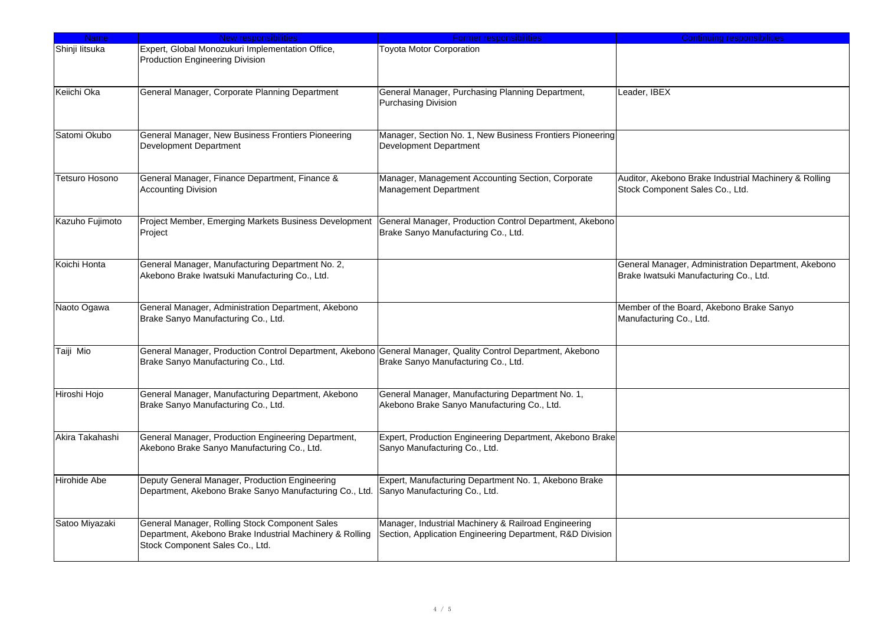| <b>Name</b>           | <b>New responsibilities</b>                                                                                                                         | <b>Former responsibilities</b>                                                                                    | <b>Continuing responsibilities</b>                                                            |
|-----------------------|-----------------------------------------------------------------------------------------------------------------------------------------------------|-------------------------------------------------------------------------------------------------------------------|-----------------------------------------------------------------------------------------------|
| Shinji litsuka        | Expert, Global Monozukuri Implementation Office,<br>Production Engineering Division                                                                 | <b>Toyota Motor Corporation</b>                                                                                   |                                                                                               |
| Keiichi Oka           | General Manager, Corporate Planning Department                                                                                                      | General Manager, Purchasing Planning Department,<br>Purchasing Division                                           | Leader, IBEX                                                                                  |
| Satomi Okubo          | General Manager, New Business Frontiers Pioneering<br><b>Development Department</b>                                                                 | Manager, Section No. 1, New Business Frontiers Pioneering<br><b>Development Department</b>                        |                                                                                               |
| <b>Tetsuro Hosono</b> | General Manager, Finance Department, Finance &<br><b>Accounting Division</b>                                                                        | Manager, Management Accounting Section, Corporate<br>Management Department                                        | Auditor, Akebono Brake Industrial Machinery & Rolling<br>Stock Component Sales Co., Ltd.      |
| Kazuho Fujimoto       | Project Member, Emerging Markets Business Development<br>Project                                                                                    | General Manager, Production Control Department, Akebono<br>Brake Sanyo Manufacturing Co., Ltd.                    |                                                                                               |
| Koichi Honta          | General Manager, Manufacturing Department No. 2,<br>Akebono Brake Iwatsuki Manufacturing Co., Ltd.                                                  |                                                                                                                   | General Manager, Administration Department, Akebono<br>Brake Iwatsuki Manufacturing Co., Ltd. |
| Naoto Ogawa           | General Manager, Administration Department, Akebono<br>Brake Sanyo Manufacturing Co., Ltd.                                                          |                                                                                                                   | Member of the Board, Akebono Brake Sanyo<br>Manufacturing Co., Ltd.                           |
| Taiji Mio             | General Manager, Production Control Department, Akebono General Manager, Quality Control Department, Akebono<br>Brake Sanyo Manufacturing Co., Ltd. | Brake Sanyo Manufacturing Co., Ltd.                                                                               |                                                                                               |
| Hiroshi Hojo          | General Manager, Manufacturing Department, Akebono<br>Brake Sanyo Manufacturing Co., Ltd.                                                           | General Manager, Manufacturing Department No. 1,<br>Akebono Brake Sanyo Manufacturing Co., Ltd.                   |                                                                                               |
| Akira Takahashi       | General Manager, Production Engineering Department,<br>Akebono Brake Sanyo Manufacturing Co., Ltd.                                                  | Expert, Production Engineering Department, Akebono Brake<br>Sanyo Manufacturing Co., Ltd.                         |                                                                                               |
| Hirohide Abe          | Deputy General Manager, Production Engineering<br>Department, Akebono Brake Sanyo Manufacturing Co., Ltd.                                           | Expert, Manufacturing Department No. 1, Akebono Brake<br>Sanyo Manufacturing Co., Ltd.                            |                                                                                               |
| Satoo Miyazaki        | General Manager, Rolling Stock Component Sales<br>Department, Akebono Brake Industrial Machinery & Rolling<br>Stock Component Sales Co., Ltd.       | Manager, Industrial Machinery & Railroad Engineering<br>Section, Application Engineering Department, R&D Division |                                                                                               |